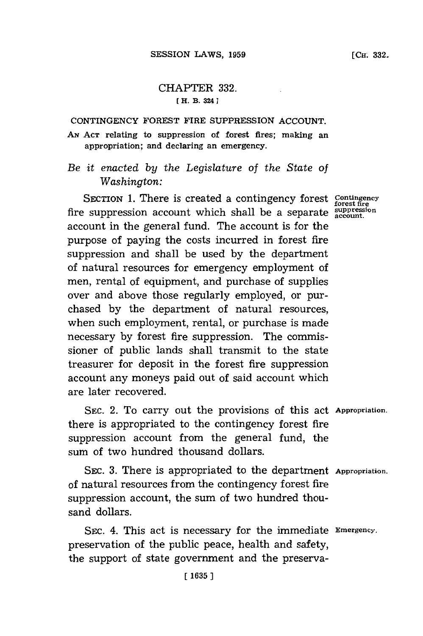## CHAPTER **332. [ H. B. 324]1**

## **CONTINGENCY** FOREST FIRE SUPPRESSION **ACCOUNT.**

## **AN~ ACT** relating to suppression of forest fires; making an appropriation; and declaring an emergency.

*Be it enacted by the Legislature of the State of Washington:*

SECTION 1. There is created a contingency forest **Contingency** fire suppression account which shall be a separate suppre account in the general fund. The account is for the purpose of paying the costs incurred in forest fire suppression and shall be used **by** the department of natural resources for emergency employment of men, rental of equipment, and purchase of supplies over and above those regularly employed, or purchased **by** the department of natural resources, when such employment, rental, or purchase is made necessary **by** forest fire suppression. The commissioner of public lands shall transmit to the state treasurer for deposit in the forest fire suppression account any moneys paid out of said account which are later recovered.

SEC. 2. To carry out the provisions of this act Appropriation. there is appropriated to the contingency forest fire suppression account from the general fund, the sum of two hundred thousand dollars.

SEC. **3.** There is appropriated to the department **Appropriation.** of natural resources from the contingency forest fire suppression account, the sum of two hundred thousand dollars.

SEC. 4. This act is necessary for the immediate **Emergency.** preservation of the public peace, health and safety, the support of state government and the preserva-